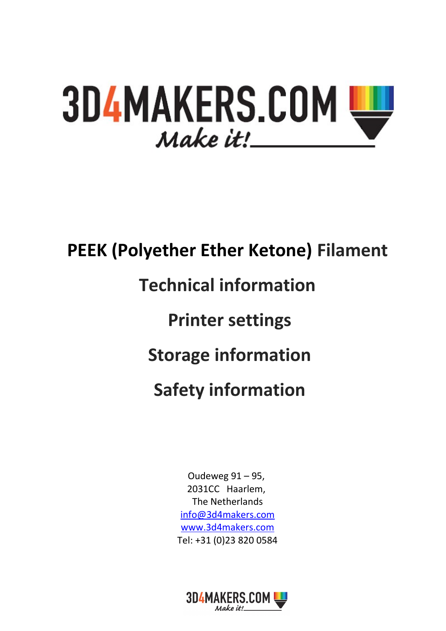# **3D4MAKERS.COM** Make it!

# **PEEK (Polyether Ether Ketone) Filament Technical information Printer settings Storage information Safety information**

Oudeweg 91 – 95, 2031CC Haarlem, The Netherlands [info@3d4makers.com](mailto:info@3d4makers.com) [www.3d4makers.com](http://www.3d4makers.com/) Tel: +31 (0)23 820 0584

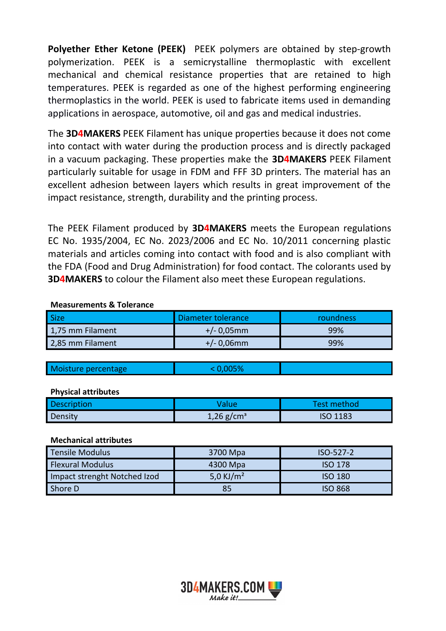**Polyether Ether Ketone (PEEK)** PEEK polymers are obtained by step-growth polymerization. PEEK is a semicrystalline thermoplastic with excellent mechanical and chemical resistance properties that are retained to high temperatures. PEEK is regarded as one of the highest performing engineering thermoplastics in the world. PEEK is used to fabricate items used in demanding applications in aerospace, automotive, oil and gas and medical industries.

The **3D4MAKERS** PEEK Filament has unique properties because it does not come into contact with water during the production process and is directly packaged in a vacuum packaging. These properties make the **3D4MAKERS** PEEK Filament particularly suitable for usage in FDM and FFF 3D printers. The material has an excellent adhesion between layers which results in great improvement of the impact resistance, strength, durability and the printing process.

The PEEK Filament produced by **3D4MAKERS** meets the European regulations EC No. 1935/2004, EC No. 2023/2006 and EC No. 10/2011 concerning plastic materials and articles coming into contact with food and is also compliant with the FDA (Food and Drug Administration) for food contact. The colorants used by **3D4MAKERS** to colour the Filament also meet these European regulations.

#### **Measurements & Tolerance**

| <b>Size</b>      | Diameter tolerance | roundness |
|------------------|--------------------|-----------|
| 1,75 mm Filament | $+/- 0.05$ mm      | 99%       |
| 2,85 mm Filament | $+/- 0.06$ mm      | 99%       |

| Moisture percentage |  |
|---------------------|--|

#### **Physical attributes**

| <b>Description</b> |                       | Test method     |
|--------------------|-----------------------|-----------------|
| Density            | $1,26 \text{ g/cm}^3$ | <b>ISO 1183</b> |

#### **Mechanical attributes**

| <b>Tensile Modulus</b>       | 3700 Mpa     | $ISO-527-2$    |
|------------------------------|--------------|----------------|
| <b>Flexural Modulus</b>      | 4300 Mpa     | <b>ISO 178</b> |
| Impact strenght Notched Izod | 5,0 KJ/ $m2$ | <b>ISO 180</b> |
| Shore D                      | 85           | <b>ISO 868</b> |

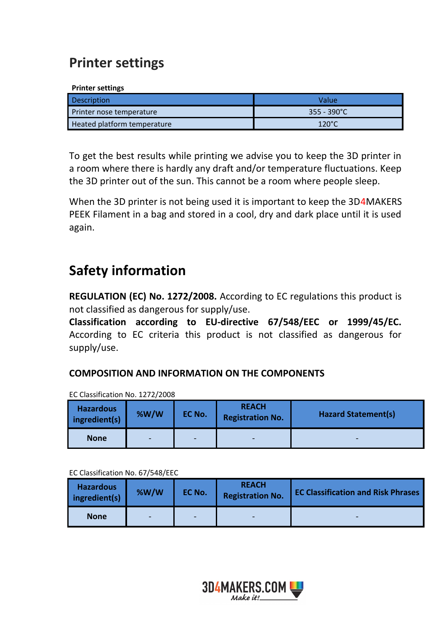## **Printer settings**

#### **Printer settings**

| <b>Description</b>          | Value                 |
|-----------------------------|-----------------------|
| Printer nose temperature    | $355 - 390^{\circ}$ C |
| Heated platform temperature | $120^{\circ}$ C       |

To get the best results while printing we advise you to keep the 3D printer in a room where there is hardly any draft and/or temperature fluctuations. Keep the 3D printer out of the sun. This cannot be a room where people sleep.

When the 3D printer is not being used it is important to keep the 3D4MAKERS PEEK Filament in a bag and stored in a cool, dry and dark place until it is used again.

## **Safety information**

**REGULATION (EC) No. 1272/2008.** According to EC regulations this product is not classified as dangerous for supply/use.

**Classification according to EU-directive 67/548/EEC or 1999/45/EC.** According to EC criteria this product is not classified as dangerous for supply/use.

## **COMPOSITION AND INFORMATION ON THE COMPONENTS**

| <b>Hazardous</b><br>$line$ ingredient(s) | %W/W           | EC No.                   | <b>REACH</b><br><b>Registration No.</b> | <b>Hazard Statement(s)</b>   |
|------------------------------------------|----------------|--------------------------|-----------------------------------------|------------------------------|
| <b>None</b>                              | $\blacksquare$ | $\overline{\phantom{a}}$ | $\overline{\phantom{0}}$                | $\qquad \qquad \blacksquare$ |

EC Classification No. 1272/2008

EC Classification No. 67/548/EEC

| <b>Hazardous</b><br>$ $ ingredient(s) | %W/W                     | EC No.                   | <b>REACH</b><br><b>Registration No.</b> | <b>EC Classification and Risk Phrases</b> |
|---------------------------------------|--------------------------|--------------------------|-----------------------------------------|-------------------------------------------|
| <b>None</b>                           | $\overline{\phantom{0}}$ | $\overline{\phantom{a}}$ | -                                       | $\overline{\phantom{a}}$                  |